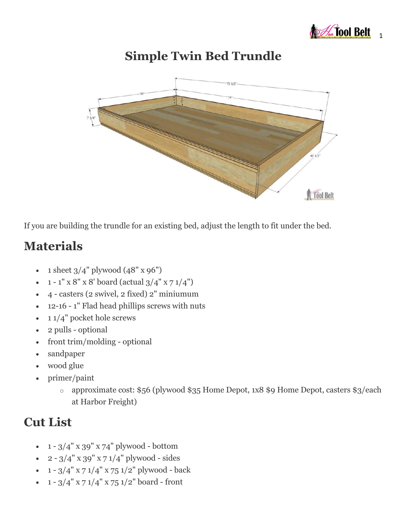

## **Simple Twin Bed Trundle**



If you are building the trundle for an existing bed, adjust the length to fit under the bed.

## **Materials**

- 1 sheet  $3/4$ " plywood  $(48" \times 96")$
- $1 1'' \times 8'' \times 8'$  board (actual  $3/4'' \times 71/4''$ )
- 4 casters (2 swivel, 2 fixed) 2" miniumum
- 12-16 1" Flad head phillips screws with nuts
- $\cdot$  1/4" pocket hole screws
- 2 pulls optional
- front trim/molding optional
- sandpaper
- wood glue
- primer/paint
	- o approximate cost: \$56 (plywood \$35 Home Depot, 1x8 \$9 Home Depot, casters \$3/each at Harbor Freight)

### **Cut List**

- $1 3/4$ " x 39" x 74" plywood bottom
- $\cdot$  2 3/4" x 39" x 7 1/4" plywood sides
- $1 3/4$ " x 7  $1/4$ " x 75  $1/2$ " plywood back
- $1 3/4$ " x 7  $1/4$ " x 75  $1/2$ " board front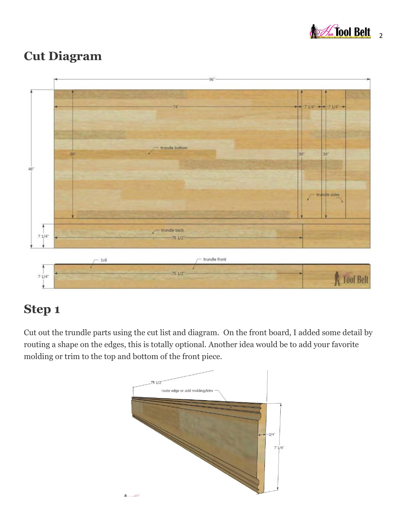

### **Cut Diagram**



# **Step 1**

Cut out the trundle parts using the cut list and diagram. On the front board, I added some detail by routing a shape on the edges, this is totally optional. Another idea would be to add your favorite molding or trim to the top and bottom of the front piece.

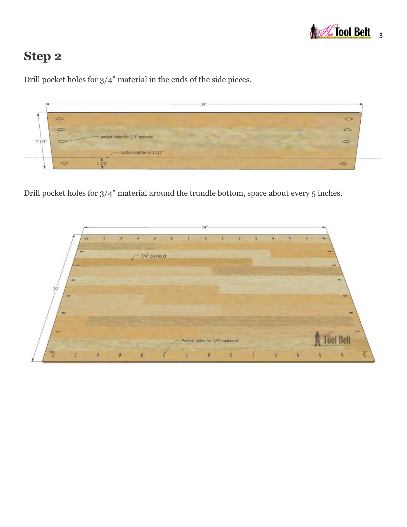

# **Step 2**



Drill pocket holes for 3/4" material in the ends of the side pieces.

Drill pocket holes for 3/4" material around the trundle bottom, space about every 5 inches.

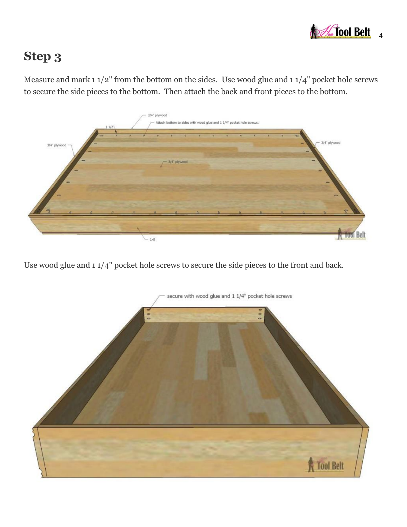

# **Step 3**

Measure and mark 1 1/2" from the bottom on the sides. Use wood glue and 1 1/4" pocket hole screws to secure the side pieces to the bottom. Then attach the back and front pieces to the bottom.



Use wood glue and 1 1/4" pocket hole screws to secure the side pieces to the front and back.